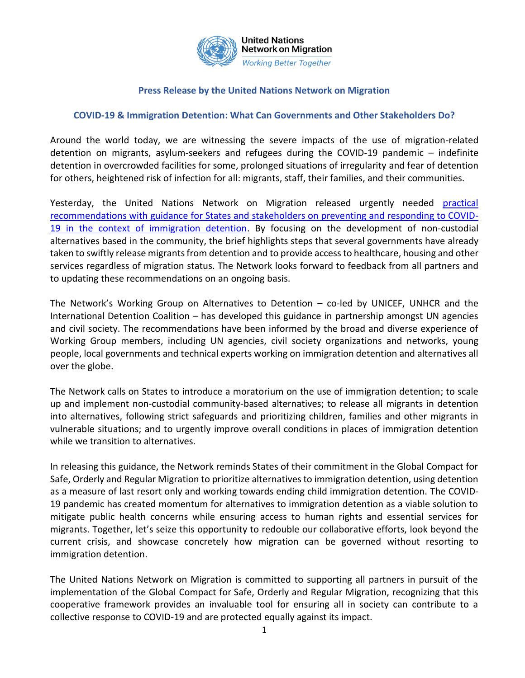

## **Press Release by the United Nations Network on Migration**

## **COVID-19 & Immigration Detention: What Can Governments and Other Stakeholders Do?**

Around the world today, we are witnessing the severe impacts of the use of migration-related detention on migrants, asylum-seekers and refugees during the COVID-19 pandemic – indefinite detention in overcrowded facilities for some, prolonged situations of irregularity and fear of detention for others, heightened risk of infection for all: migrants, staff, their families, and their communities.

Yesterday, the United Nations Network on Migration released urgently needed [practical](https://migrationnetwork.un.org/sites/default/files/docs/un_network_on_migration_wg_atd_policy_brief_covid-19_and_immigration_detention_0.pdf)  [recommendations with guidance for States and stakeholders on preventing and responding to COVID-](https://migrationnetwork.un.org/sites/default/files/docs/un_network_on_migration_wg_atd_policy_brief_covid-19_and_immigration_detention_0.pdf)[19 in the context of immigration detention.](https://migrationnetwork.un.org/sites/default/files/docs/un_network_on_migration_wg_atd_policy_brief_covid-19_and_immigration_detention_0.pdf) By focusing on the development of non-custodial alternatives based in the community, the brief highlights steps that several governments have already taken to swiftly release migrants from detention and to provide access to healthcare, housing and other services regardless of migration status. The Network looks forward to feedback from all partners and to updating these recommendations on an ongoing basis.

The Network's Working Group on Alternatives to Detention – co-led by UNICEF, UNHCR and the International Detention Coalition – has developed this guidance in partnership amongst UN agencies and civil society. The recommendations have been informed by the broad and diverse experience of Working Group members, including UN agencies, civil society organizations and networks, young people, local governments and technical experts working on immigration detention and alternatives all over the globe.

The Network calls on States to introduce a moratorium on the use of immigration detention; to scale up and implement non-custodial community-based alternatives; to release all migrants in detention into alternatives, following strict safeguards and prioritizing children, families and other migrants in vulnerable situations; and to urgently improve overall conditions in places of immigration detention while we transition to alternatives.

In releasing this guidance, the Network reminds States of their commitment in the Global Compact for Safe, Orderly and Regular Migration to prioritize alternatives to immigration detention, using detention as a measure of last resort only and working towards ending child immigration detention. The COVID-19 pandemic has created momentum for alternatives to immigration detention as a viable solution to mitigate public health concerns while ensuring access to human rights and essential services for migrants. Together, let's seize this opportunity to redouble our collaborative efforts, look beyond the current crisis, and showcase concretely how migration can be governed without resorting to immigration detention.

The United Nations Network on Migration is committed to supporting all partners in pursuit of the implementation of the Global Compact for Safe, Orderly and Regular Migration, recognizing that this cooperative framework provides an invaluable tool for ensuring all in society can contribute to a collective response to COVID-19 and are protected equally against its impact.